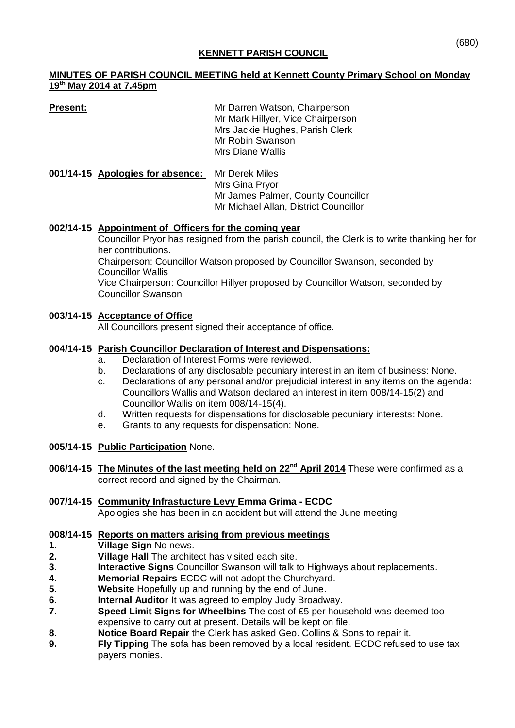## **KENNETT PARISH COUNCIL**

# **MINUTES OF PARISH COUNCIL MEETING held at Kennett County Primary School on Monday 19th May 2014 at 7.45pm**

**Present:** Mr Darren Watson, Chairperson Mr Mark Hillyer, Vice Chairperson Mrs Jackie Hughes, Parish Clerk Mr Robin Swanson Mrs Diane Wallis

**001/14-15 Apologies for absence:** Mr Derek Miles Mrs Gina Pryor Mr James Palmer, County Councillor Mr Michael Allan, District Councillor

## **002/14-15 Appointment of Officers for the coming year**

Councillor Pryor has resigned from the parish council, the Clerk is to write thanking her for her contributions.

Chairperson: Councillor Watson proposed by Councillor Swanson, seconded by Councillor Wallis

Vice Chairperson: Councillor Hillyer proposed by Councillor Watson, seconded by Councillor Swanson

# **003/14-15 Acceptance of Office**

All Councillors present signed their acceptance of office.

## **004/14-15 Parish Councillor Declaration of Interest and Dispensations:**

- a. Declaration of Interest Forms were reviewed.
- b. Declarations of any disclosable pecuniary interest in an item of business: None.
- c. Declarations of any personal and/or prejudicial interest in any items on the agenda: Councillors Wallis and Watson declared an interest in item 008/14-15(2) and Councillor Wallis on item 008/14-15(4).
- d. Written requests for dispensations for disclosable pecuniary interests: None.
- e. Grants to any requests for dispensation: None.
- **005/14-15 Public Participation** None.
- **006/14-15 The Minutes of the last meeting held on 22nd April 2014** These were confirmed as a correct record and signed by the Chairman.
- **007/14-15 Community Infrastucture Levy Emma Grima - ECDC** Apologies she has been in an accident but will attend the June meeting

## **008/14-15 Reports on matters arising from previous meetings**

- **1. Village Sign** No news.
- **2. Village Hall** The architect has visited each site.
- **3. Interactive Signs** Councillor Swanson will talk to Highways about replacements.
- **4. Memorial Repairs** ECDC will not adopt the Churchyard.
- **5. Website** Hopefully up and running by the end of June.
- **6. Internal Auditor** It was agreed to employ Judy Broadway.
- **7. Speed Limit Signs for Wheelbins** The cost of £5 per household was deemed too expensive to carry out at present. Details will be kept on file.
- **8. Notice Board Repair** the Clerk has asked Geo. Collins & Sons to repair it.
- **9. Fly Tipping** The sofa has been removed by a local resident. ECDC refused to use tax payers monies.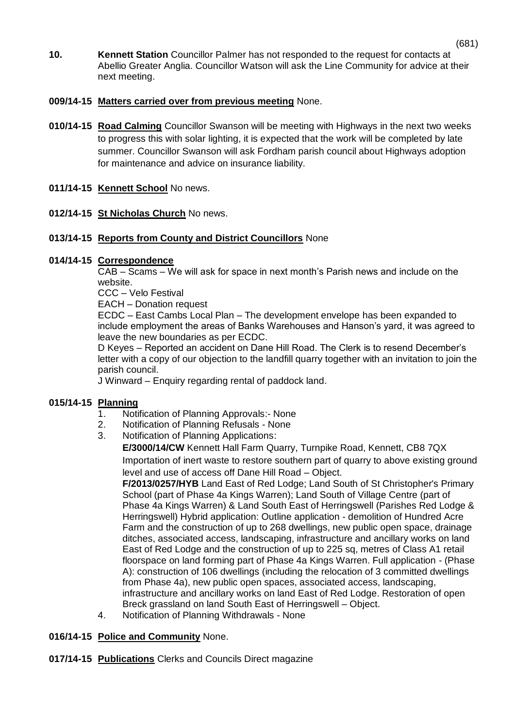**10. Kennett Station** Councillor Palmer has not responded to the request for contacts at Abellio Greater Anglia. Councillor Watson will ask the Line Community for advice at their next meeting.

# **009/14-15 Matters carried over from previous meeting** None.

- **010/14-15 Road Calming** Councillor Swanson will be meeting with Highways in the next two weeks to progress this with solar lighting, it is expected that the work will be completed by late summer. Councillor Swanson will ask Fordham parish council about Highways adoption for maintenance and advice on insurance liability.
- **011/14-15 Kennett School** No news.
- **012/14-15 St Nicholas Church** No news.

# **013/14-15 Reports from County and District Councillors** None

## **014/14-15 Correspondence**

CAB – Scams – We will ask for space in next month's Parish news and include on the website.

CCC – Velo Festival

EACH – Donation request

ECDC – East Cambs Local Plan – The development envelope has been expanded to include employment the areas of Banks Warehouses and Hanson's yard, it was agreed to leave the new boundaries as per ECDC.

D Keyes – Reported an accident on Dane Hill Road. The Clerk is to resend December's letter with a copy of our objection to the landfill quarry together with an invitation to join the parish council.

J Winward – Enquiry regarding rental of paddock land.

## **015/14-15 Planning**

- 1. Notification of Planning Approvals:- None
- 2. Notification of Planning Refusals None
- 3. Notification of Planning Applications:

**E/3000/14/CW** Kennett Hall Farm Quarry, Turnpike Road, Kennett, CB8 7QX Importation of inert waste to restore southern part of quarry to above existing ground level and use of access off Dane Hill Road – Object.

**F/2013/0257/HYB** Land East of Red Lodge; Land South of St Christopher's Primary School (part of Phase 4a Kings Warren); Land South of Village Centre (part of Phase 4a Kings Warren) & Land South East of Herringswell (Parishes Red Lodge & Herringswell) Hybrid application: Outline application - demolition of Hundred Acre Farm and the construction of up to 268 dwellings, new public open space, drainage ditches, associated access, landscaping, infrastructure and ancillary works on land East of Red Lodge and the construction of up to 225 sq, metres of Class A1 retail floorspace on land forming part of Phase 4a Kings Warren. Full application - (Phase A): construction of 106 dwellings (including the relocation of 3 committed dwellings from Phase 4a), new public open spaces, associated access, landscaping, infrastructure and ancillary works on land East of Red Lodge. Restoration of open Breck grassland on land South East of Herringswell – Object.

4. Notification of Planning Withdrawals - None

## **016/14-15 Police and Community** None.

**017/14-15 Publications** Clerks and Councils Direct magazine